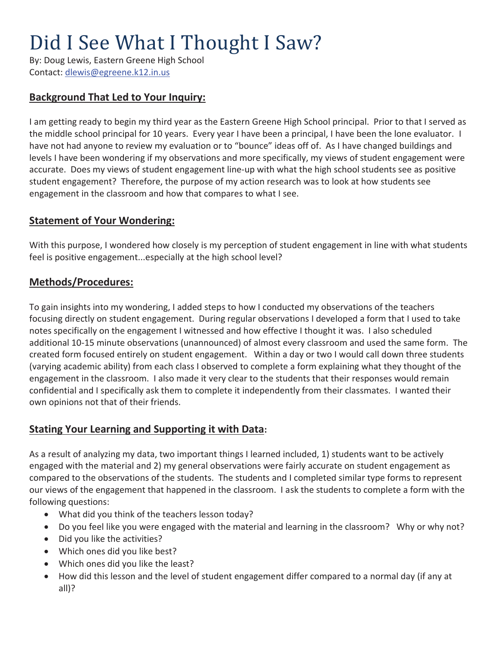# Did I See What I Thought I Saw?

By: Doug Lewis, Eastern Greene High School Contact: dlewis@egreene.k12.in.us

## **Background That Led to Your Inquiry:**

I am getting ready to begin my third year as the Eastern Greene High School principal. Prior to that I served as the middle school principal for 10 years. Every year I have been a principal, I have been the lone evaluator. I have not had anyone to review my evaluation or to "bounce" ideas off of. As I have changed buildings and levels I have been wondering if my observations and more specifically, my views of student engagement were accurate. Does my views of student engagement line-up with what the high school students see as positive student engagement? Therefore, the purpose of my action research was to look at how students see engagement in the classroom and how that compares to what I see.

## **Statement of Your Wondering:**

With this purpose, I wondered how closely is my perception of student engagement in line with what students feel is positive engagement...especially at the high school level?

### **Methods/Procedures:**

To gain insights into my wondering, I added steps to how I conducted my observations of the teachers focusing directly on student engagement. During regular observations I developed a form that I used to take notes specifically on the engagement I witnessed and how effective I thought it was. I also scheduled additional 10-15 minute observations (unannounced) of almost every classroom and used the same form. The created form focused entirely on student engagement. Within a day or two I would call down three students (varying academic ability) from each class I observed to complete a form explaining what they thought of the engagement in the classroom. I also made it very clear to the students that their responses would remain confidential and I specifically ask them to complete it independently from their classmates. I wanted their own opinions not that of their friends.

### **Stating Your Learning and Supporting it with Data:**

As a result of analyzing my data, two important things I learned included, 1) students want to be actively engaged with the material and 2) my general observations were fairly accurate on student engagement as compared to the observations of the students. The students and I completed similar type forms to represent our views of the engagement that happened in the classroom. I ask the students to complete a form with the following questions:

- What did you think of the teachers lesson today?
- Do you feel like you were engaged with the material and learning in the classroom? Why or why not?
- $\bullet$  Did you like the activities?
- Which ones did you like best?
- Which ones did you like the least?
- How did this lesson and the level of student engagement differ compared to a normal day (if any at all)?